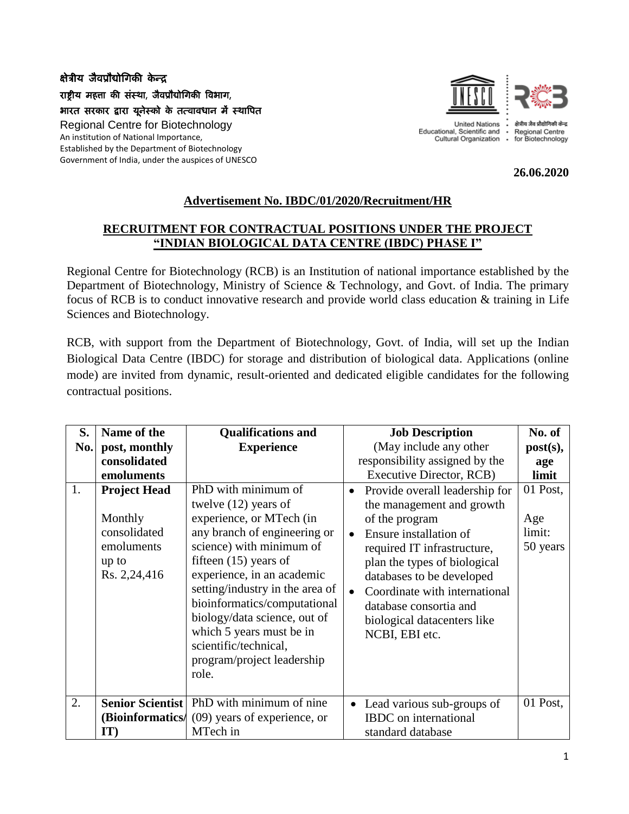## क्षेत्रीय जैवप्रौद्योगिकी केन्द्र राष्ट्रीय महत्ता की संस्था, जैवप्रौद्योगिकी विभाग, भारत सरकार द्वारा यूनेस्को के तत्वावधान में स्थावित Regional Centre for Biotechnology An institution of National Importance, Established by the Department of Biotechnology Government of India, under the auspices of UNESCO



**United Nations** Educational, Scientific and <br>Cultural Organization .

Regional Centre for Biotechnology

**26.06.2020**

## **Advertisement No. IBDC/01/2020/Recruitment/HR**

## **RECRUITMENT FOR CONTRACTUAL POSITIONS UNDER THE PROJECT "INDIAN BIOLOGICAL DATA CENTRE (IBDC) PHASE I"**

Regional Centre for Biotechnology (RCB) is an Institution of national importance established by the Department of Biotechnology, Ministry of Science & Technology, and Govt. of India. The primary focus of RCB is to conduct innovative research and provide world class education & training in Life Sciences and Biotechnology.

RCB, with support from the Department of Biotechnology, Govt. of India, will set up the Indian Biological Data Centre (IBDC) for storage and distribution of biological data. Applications (online mode) are invited from dynamic, result-oriented and dedicated eligible candidates for the following contractual positions.

| S.  | Name of the                                                                           | <b>Qualifications and</b>                                                                                                                                                                                                                                                                                                                                                                     | <b>Job Description</b>                                                                                                                                                                                                                                                                                                                                 | No. of                                |
|-----|---------------------------------------------------------------------------------------|-----------------------------------------------------------------------------------------------------------------------------------------------------------------------------------------------------------------------------------------------------------------------------------------------------------------------------------------------------------------------------------------------|--------------------------------------------------------------------------------------------------------------------------------------------------------------------------------------------------------------------------------------------------------------------------------------------------------------------------------------------------------|---------------------------------------|
| No. | post, monthly                                                                         | <b>Experience</b>                                                                                                                                                                                                                                                                                                                                                                             | (May include any other                                                                                                                                                                                                                                                                                                                                 | post(s),                              |
|     | consolidated                                                                          |                                                                                                                                                                                                                                                                                                                                                                                               | responsibility assigned by the                                                                                                                                                                                                                                                                                                                         | age                                   |
|     | emoluments                                                                            |                                                                                                                                                                                                                                                                                                                                                                                               | Executive Director, RCB)                                                                                                                                                                                                                                                                                                                               | limit                                 |
| 1.  | <b>Project Head</b><br>Monthly<br>consolidated<br>emoluments<br>up to<br>Rs. 2,24,416 | PhD with minimum of<br>twelve $(12)$ years of<br>experience, or MTech (in<br>any branch of engineering or<br>science) with minimum of<br>fifteen $(15)$ years of<br>experience, in an academic<br>setting/industry in the area of<br>bioinformatics/computational<br>biology/data science, out of<br>which 5 years must be in<br>scientific/technical,<br>program/project leadership<br>role. | Provide overall leadership for<br>$\bullet$<br>the management and growth<br>of the program<br>Ensure installation of<br>$\bullet$<br>required IT infrastructure,<br>plan the types of biological<br>databases to be developed<br>Coordinate with international<br>$\bullet$<br>database consortia and<br>biological datacenters like<br>NCBI, EBI etc. | 01 Post,<br>Age<br>limit:<br>50 years |
| 2.  | <b>Senior Scientist</b>                                                               | PhD with minimum of nine                                                                                                                                                                                                                                                                                                                                                                      | Lead various sub-groups of<br>$\bullet$                                                                                                                                                                                                                                                                                                                | 01 Post,                              |
|     | (Bioinformatics/                                                                      | (09) years of experience, or                                                                                                                                                                                                                                                                                                                                                                  | <b>IBDC</b> on international                                                                                                                                                                                                                                                                                                                           |                                       |
|     | IT)                                                                                   | MTech in                                                                                                                                                                                                                                                                                                                                                                                      | standard database                                                                                                                                                                                                                                                                                                                                      |                                       |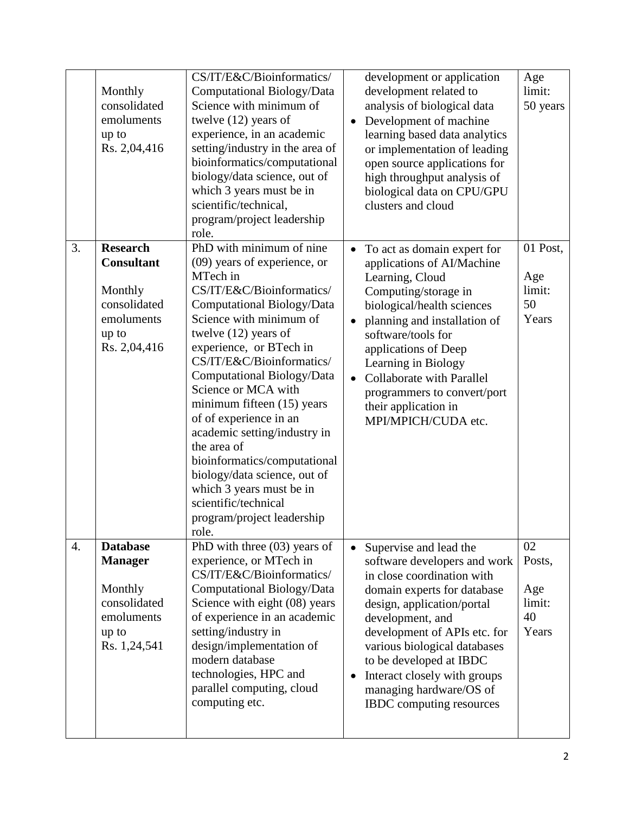|    | Monthly<br>consolidated<br>emoluments<br>up to<br>Rs. 2,04,416                                         | CS/IT/E&C/Bioinformatics/<br>Computational Biology/Data<br>Science with minimum of<br>twelve $(12)$ years of<br>experience, in an academic<br>setting/industry in the area of<br>bioinformatics/computational<br>biology/data science, out of<br>which 3 years must be in<br>scientific/technical,<br>program/project leadership<br>role.                                                                                                                                                                                                                           | development or application<br>development related to<br>analysis of biological data<br>Development of machine<br>$\bullet$<br>learning based data analytics<br>or implementation of leading<br>open source applications for<br>high throughput analysis of<br>biological data on CPU/GPU<br>clusters and cloud                                                                                   | Age<br>limit:<br>50 years                    |
|----|--------------------------------------------------------------------------------------------------------|---------------------------------------------------------------------------------------------------------------------------------------------------------------------------------------------------------------------------------------------------------------------------------------------------------------------------------------------------------------------------------------------------------------------------------------------------------------------------------------------------------------------------------------------------------------------|--------------------------------------------------------------------------------------------------------------------------------------------------------------------------------------------------------------------------------------------------------------------------------------------------------------------------------------------------------------------------------------------------|----------------------------------------------|
| 3. | <b>Research</b><br><b>Consultant</b><br>Monthly<br>consolidated<br>emoluments<br>up to<br>Rs. 2,04,416 | PhD with minimum of nine<br>(09) years of experience, or<br>MTech in<br>CS/IT/E&C/Bioinformatics/<br>Computational Biology/Data<br>Science with minimum of<br>twelve $(12)$ years of<br>experience, or BTech in<br>CS/IT/E&C/Bioinformatics/<br>Computational Biology/Data<br>Science or MCA with<br>minimum fifteen (15) years<br>of of experience in an<br>academic setting/industry in<br>the area of<br>bioinformatics/computational<br>biology/data science, out of<br>which 3 years must be in<br>scientific/technical<br>program/project leadership<br>role. | To act as domain expert for<br>$\bullet$<br>applications of AI/Machine<br>Learning, Cloud<br>Computing/storage in<br>biological/health sciences<br>planning and installation of<br>$\bullet$<br>software/tools for<br>applications of Deep<br>Learning in Biology<br><b>Collaborate with Parallel</b><br>$\bullet$<br>programmers to convert/port<br>their application in<br>MPI/MPICH/CUDA etc. | 01 Post,<br>Age<br>limit:<br>50<br>Years     |
| 4. | <b>Database</b><br><b>Manager</b><br>Monthly<br>consolidated<br>emoluments<br>up to<br>Rs. 1,24,541    | PhD with three $(03)$ years of<br>experience, or MTech in<br>CS/IT/E&C/Bioinformatics/<br>Computational Biology/Data<br>Science with eight (08) years<br>of experience in an academic<br>setting/industry in<br>design/implementation of<br>modern database<br>technologies, HPC and<br>parallel computing, cloud<br>computing etc.                                                                                                                                                                                                                                 | Supervise and lead the<br>$\bullet$<br>software developers and work<br>in close coordination with<br>domain experts for database<br>design, application/portal<br>development, and<br>development of APIs etc. for<br>various biological databases<br>to be developed at IBDC<br>Interact closely with groups<br>$\bullet$<br>managing hardware/OS of<br><b>IBDC</b> computing resources         | 02<br>Posts,<br>Age<br>limit:<br>40<br>Years |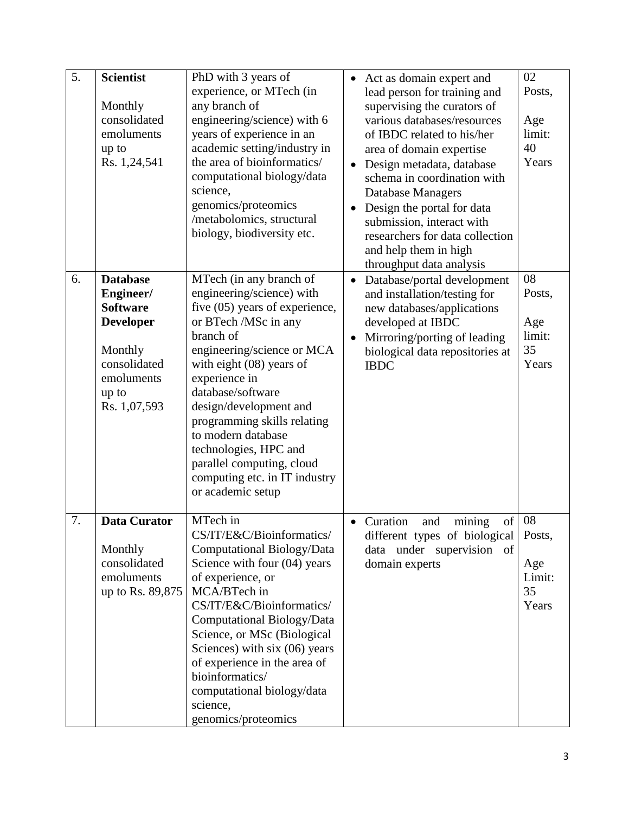| 5. | <b>Scientist</b>    | PhD with 3 years of                                  | Act as domain expert and                                         | 02     |
|----|---------------------|------------------------------------------------------|------------------------------------------------------------------|--------|
|    |                     | experience, or MTech (in                             | lead person for training and                                     | Posts, |
|    | Monthly             | any branch of                                        | supervising the curators of                                      |        |
|    | consolidated        | engineering/science) with 6                          | various databases/resources                                      | Age    |
|    | emoluments          | years of experience in an                            | of IBDC related to his/her                                       | limit: |
|    | up to               | academic setting/industry in                         | area of domain expertise                                         | 40     |
|    | Rs. 1,24,541        | the area of bioinformatics/                          | Design metadata, database<br>$\bullet$                           | Years  |
|    |                     | computational biology/data                           | schema in coordination with                                      |        |
|    |                     | science,                                             | Database Managers                                                |        |
|    |                     | genomics/proteomics<br>/metabolomics, structural     | Design the portal for data<br>$\bullet$                          |        |
|    |                     | biology, biodiversity etc.                           | submission, interact with                                        |        |
|    |                     |                                                      | researchers for data collection                                  |        |
|    |                     |                                                      | and help them in high                                            |        |
| 6. | <b>Database</b>     |                                                      | throughput data analysis                                         | 08     |
|    | Engineer/           | MTech (in any branch of<br>engineering/science) with | Database/portal development<br>$\bullet$                         | Posts, |
|    | <b>Software</b>     | five $(05)$ years of experience,                     | and installation/testing for<br>new databases/applications       |        |
|    | <b>Developer</b>    | or BTech /MSc in any                                 | developed at IBDC                                                | Age    |
|    |                     | branch of                                            | Mirroring/porting of leading<br>$\bullet$                        | limit: |
|    | Monthly             | engineering/science or MCA                           | biological data repositories at                                  | 35     |
|    | consolidated        | with eight $(08)$ years of                           | <b>IBDC</b>                                                      | Years  |
|    | emoluments          | experience in                                        |                                                                  |        |
|    | up to               | database/software                                    |                                                                  |        |
|    | Rs. 1,07,593        | design/development and                               |                                                                  |        |
|    |                     | programming skills relating                          |                                                                  |        |
|    |                     | to modern database                                   |                                                                  |        |
|    |                     | technologies, HPC and                                |                                                                  |        |
|    |                     | parallel computing, cloud                            |                                                                  |        |
|    |                     | computing etc. in IT industry                        |                                                                  |        |
|    |                     | or academic setup                                    |                                                                  |        |
| 7. | <b>Data Curator</b> | MTech in                                             |                                                                  | 08     |
|    |                     | CS/IT/E&C/Bioinformatics/                            | Curation<br>of<br>mining<br>and<br>different types of biological | Posts, |
|    | Monthly             | Computational Biology/Data                           | data under supervision of                                        |        |
|    | consolidated        | Science with four (04) years                         | domain experts                                                   | Age    |
|    | emoluments          | of experience, or                                    |                                                                  | Limit: |
|    | up to Rs. 89,875    | MCA/BTech in                                         |                                                                  | 35     |
|    |                     | CS/IT/E&C/Bioinformatics/                            |                                                                  | Years  |
|    |                     | Computational Biology/Data                           |                                                                  |        |
|    |                     | Science, or MSc (Biological                          |                                                                  |        |
|    |                     | Sciences) with six (06) years                        |                                                                  |        |
|    |                     | of experience in the area of                         |                                                                  |        |
|    |                     | bioinformatics/                                      |                                                                  |        |
|    |                     | computational biology/data                           |                                                                  |        |
|    |                     | science,                                             |                                                                  |        |
|    |                     | genomics/proteomics                                  |                                                                  |        |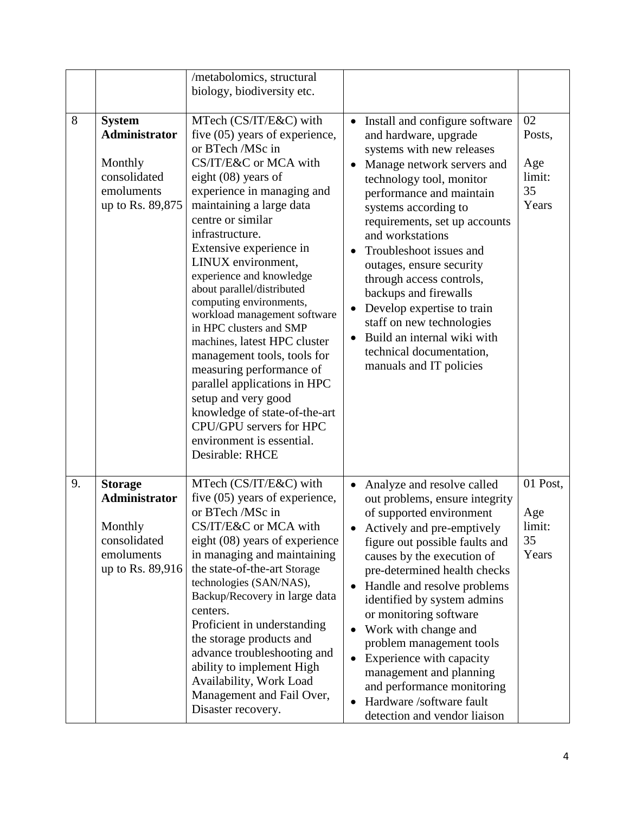|    |                                                                                                    | /metabolomics, structural<br>biology, biodiversity etc.                                                                                                                                                                                                                                                                                                                                                                                                                                                                                                                                                                                                                                         |                                                                                                                                                                                                                                                                                                                                                                                                                                                                                                                                                                          |                                              |
|----|----------------------------------------------------------------------------------------------------|-------------------------------------------------------------------------------------------------------------------------------------------------------------------------------------------------------------------------------------------------------------------------------------------------------------------------------------------------------------------------------------------------------------------------------------------------------------------------------------------------------------------------------------------------------------------------------------------------------------------------------------------------------------------------------------------------|--------------------------------------------------------------------------------------------------------------------------------------------------------------------------------------------------------------------------------------------------------------------------------------------------------------------------------------------------------------------------------------------------------------------------------------------------------------------------------------------------------------------------------------------------------------------------|----------------------------------------------|
| 8  | <b>System</b><br><b>Administrator</b><br>Monthly<br>consolidated<br>emoluments<br>up to Rs. 89,875 | MTech (CS/IT/E&C) with<br>five $(05)$ years of experience,<br>or BTech /MSc in<br>CS/IT/E&C or MCA with<br>eight (08) years of<br>experience in managing and<br>maintaining a large data<br>centre or similar<br>infrastructure.<br>Extensive experience in<br>LINUX environment,<br>experience and knowledge<br>about parallel/distributed<br>computing environments,<br>workload management software<br>in HPC clusters and SMP<br>machines, latest HPC cluster<br>management tools, tools for<br>measuring performance of<br>parallel applications in HPC<br>setup and very good<br>knowledge of state-of-the-art<br>CPU/GPU servers for HPC<br>environment is essential.<br>Desirable: RHCE | Install and configure software<br>$\bullet$<br>and hardware, upgrade<br>systems with new releases<br>Manage network servers and<br>$\bullet$<br>technology tool, monitor<br>performance and maintain<br>systems according to<br>requirements, set up accounts<br>and workstations<br>Troubleshoot issues and<br>$\bullet$<br>outages, ensure security<br>through access controls,<br>backups and firewalls<br>Develop expertise to train<br>$\bullet$<br>staff on new technologies<br>Build an internal wiki with<br>technical documentation,<br>manuals and IT policies | 02<br>Posts,<br>Age<br>limit:<br>35<br>Years |
| 9. | <b>Storage</b><br>Administrator<br>Monthly<br>consolidated<br>emoluments<br>up to Rs. 89,916       | MTech (CS/IT/E&C) with<br>five $(05)$ years of experience,<br>or BTech /MSc in<br>CS/IT/E&C or MCA with<br>eight (08) years of experience<br>in managing and maintaining<br>the state-of-the-art Storage<br>technologies (SAN/NAS),<br>Backup/Recovery in large data<br>centers.<br>Proficient in understanding<br>the storage products and<br>advance troubleshooting and<br>ability to implement High<br>Availability, Work Load<br>Management and Fail Over,<br>Disaster recovery.                                                                                                                                                                                                           | Analyze and resolve called<br>$\bullet$<br>out problems, ensure integrity<br>of supported environment<br>Actively and pre-emptively<br>figure out possible faults and<br>causes by the execution of<br>pre-determined health checks<br>Handle and resolve problems<br>$\bullet$<br>identified by system admins<br>or monitoring software<br>Work with change and<br>$\bullet$<br>problem management tools<br>Experience with capacity<br>$\bullet$<br>management and planning<br>and performance monitoring<br>Hardware /software fault<br>detection and vendor liaison  | 01 Post,<br>Age<br>limit:<br>35<br>Years     |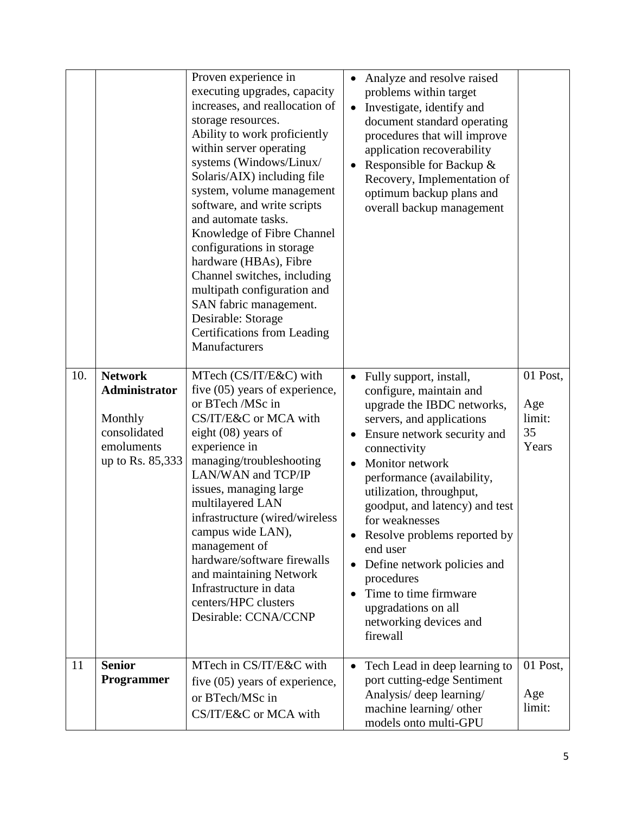|     |                                                                                              | Proven experience in<br>executing upgrades, capacity<br>increases, and reallocation of<br>storage resources.<br>Ability to work proficiently<br>within server operating<br>systems (Windows/Linux/<br>Solaris/AIX) including file<br>system, volume management<br>software, and write scripts<br>and automate tasks.<br>Knowledge of Fibre Channel<br>configurations in storage<br>hardware (HBAs), Fibre<br>Channel switches, including<br>multipath configuration and<br>SAN fabric management.<br>Desirable: Storage<br><b>Certifications from Leading</b><br>Manufacturers | Analyze and resolve raised<br>$\bullet$<br>problems within target<br>Investigate, identify and<br>$\bullet$<br>document standard operating<br>procedures that will improve<br>application recoverability<br>Responsible for Backup &<br>$\bullet$<br>Recovery, Implementation of<br>optimum backup plans and<br>overall backup management                                                                                                                                                                                                           |                                    |
|-----|----------------------------------------------------------------------------------------------|--------------------------------------------------------------------------------------------------------------------------------------------------------------------------------------------------------------------------------------------------------------------------------------------------------------------------------------------------------------------------------------------------------------------------------------------------------------------------------------------------------------------------------------------------------------------------------|-----------------------------------------------------------------------------------------------------------------------------------------------------------------------------------------------------------------------------------------------------------------------------------------------------------------------------------------------------------------------------------------------------------------------------------------------------------------------------------------------------------------------------------------------------|------------------------------------|
| 10. | <b>Network</b><br>Administrator<br>Monthly<br>consolidated<br>emoluments<br>up to Rs. 85,333 | MTech (CS/IT/E&C) with<br>five (05) years of experience,<br>or BTech /MSc in<br>CS/IT/E&C or MCA with<br>eight (08) years of<br>experience in<br>managing/troubleshooting<br>LAN/WAN and TCP/IP<br>issues, managing large<br>multilayered LAN<br>infrastructure (wired/wireless<br>campus wide LAN),<br>management of<br>hardware/software firewalls<br>and maintaining Network<br>Infrastructure in data<br>centers/HPC clusters<br>Desirable: CCNA/CCNP                                                                                                                      | Fully support, install,<br>$\bullet$<br>configure, maintain and<br>upgrade the IBDC networks,<br>servers, and applications<br>35<br>Ensure network security and<br>$\bullet$<br>connectivity<br>Monitor network<br>performance (availability,<br>utilization, throughput,<br>goodput, and latency) and test<br>for weaknesses<br>Resolve problems reported by<br>$\bullet$<br>end user<br>Define network policies and<br>$\bullet$<br>procedures<br>Time to time firmware<br>$\bullet$<br>upgradations on all<br>networking devices and<br>firewall | 01 Post,<br>Age<br>limit:<br>Years |
| 11  | <b>Senior</b><br>Programmer                                                                  | MTech in CS/IT/E&C with<br>five $(05)$ years of experience,<br>or BTech/MSc in<br>CS/IT/E&C or MCA with                                                                                                                                                                                                                                                                                                                                                                                                                                                                        | Tech Lead in deep learning to<br>$\bullet$<br>port cutting-edge Sentiment<br>Analysis/ deep learning/<br>machine learning/ other<br>models onto multi-GPU                                                                                                                                                                                                                                                                                                                                                                                           | 01 Post,<br>Age<br>limit:          |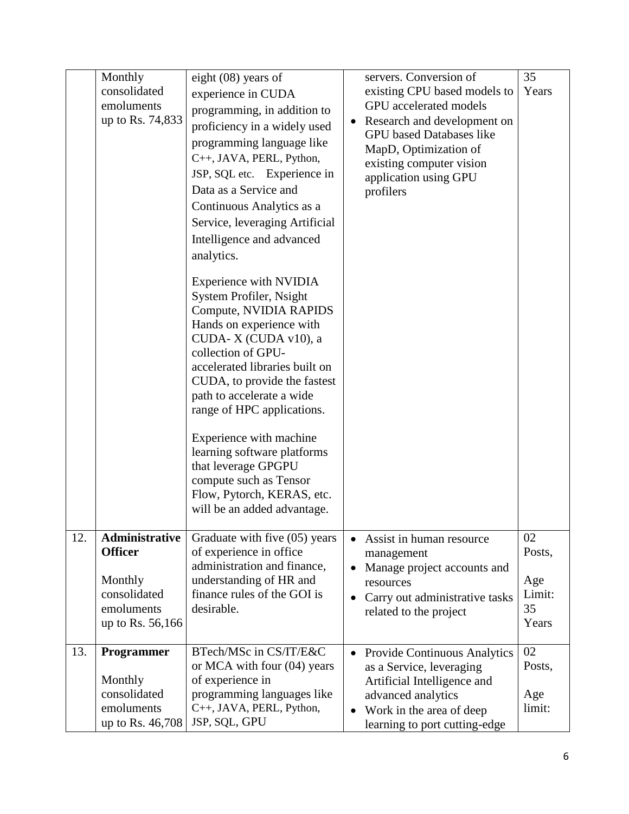|     | Monthly<br>consolidated<br>emoluments<br>up to Rs. 74,833                                            | eight $(08)$ years of<br>experience in CUDA<br>programming, in addition to<br>proficiency in a widely used<br>programming language like<br>C++, JAVA, PERL, Python,<br>JSP, SQL etc. Experience in<br>Data as a Service and<br>Continuous Analytics as a<br>Service, leveraging Artificial<br>Intelligence and advanced<br>analytics.<br>Experience with NVIDIA<br>System Profiler, Nsight<br>Compute, NVIDIA RAPIDS<br>Hands on experience with<br>CUDA-X (CUDA v10), a<br>collection of GPU-<br>accelerated libraries built on<br>CUDA, to provide the fastest<br>path to accelerate a wide<br>range of HPC applications.<br>Experience with machine<br>learning software platforms<br>that leverage GPGPU<br>compute such as Tensor<br>Flow, Pytorch, KERAS, etc.<br>will be an added advantage. | servers. Conversion of<br>existing CPU based models to<br><b>GPU</b> accelerated models<br>• Research and development on<br><b>GPU</b> based Databases like<br>MapD, Optimization of<br>existing computer vision<br>application using GPU<br>profilers | 35<br>Years                                  |
|-----|------------------------------------------------------------------------------------------------------|-----------------------------------------------------------------------------------------------------------------------------------------------------------------------------------------------------------------------------------------------------------------------------------------------------------------------------------------------------------------------------------------------------------------------------------------------------------------------------------------------------------------------------------------------------------------------------------------------------------------------------------------------------------------------------------------------------------------------------------------------------------------------------------------------------|--------------------------------------------------------------------------------------------------------------------------------------------------------------------------------------------------------------------------------------------------------|----------------------------------------------|
| 12. | <b>Administrative</b><br><b>Officer</b><br>Monthly<br>consolidated<br>emoluments<br>up to Rs. 56,166 | Graduate with five (05) years<br>of experience in office<br>administration and finance,<br>understanding of HR and<br>finance rules of the GOI is<br>desirable.                                                                                                                                                                                                                                                                                                                                                                                                                                                                                                                                                                                                                                     | Assist in human resource<br>$\bullet$<br>management<br>Manage project accounts and<br>resources<br>Carry out administrative tasks<br>$\bullet$<br>related to the project                                                                               | 02<br>Posts,<br>Age<br>Limit:<br>35<br>Years |
| 13. | <b>Programmer</b><br>Monthly<br>consolidated<br>emoluments<br>up to Rs. 46,708                       | BTech/MSc in CS/IT/E&C<br>or MCA with four $(04)$ years<br>of experience in<br>programming languages like<br>C++, JAVA, PERL, Python,<br>JSP, SQL, GPU                                                                                                                                                                                                                                                                                                                                                                                                                                                                                                                                                                                                                                              | • Provide Continuous Analytics<br>as a Service, leveraging<br>Artificial Intelligence and<br>advanced analytics<br>Work in the area of deep<br>$\bullet$<br>learning to port cutting-edge                                                              | 02<br>Posts,<br>Age<br>limit:                |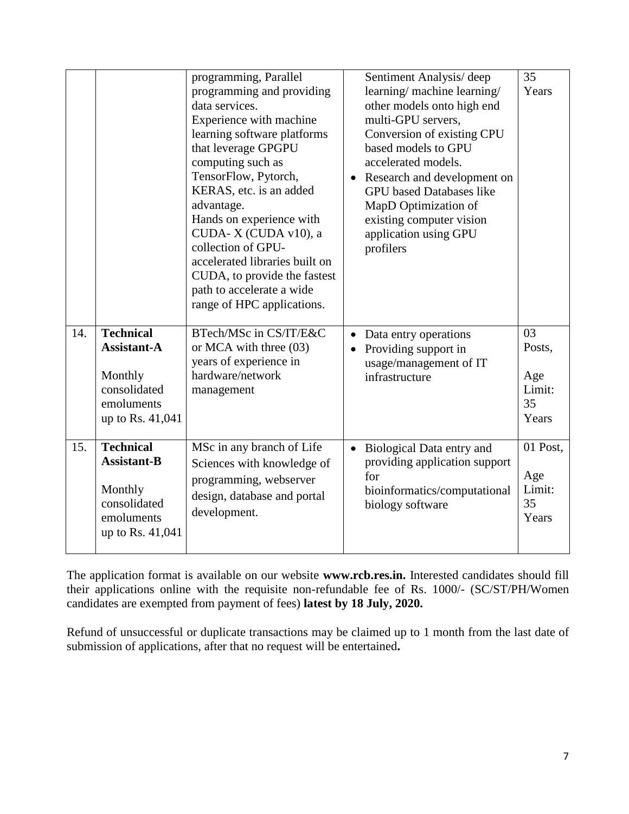|     |                                                                                                     | programming, Parallel<br>programming and providing<br>data services.<br>Experience with machine<br>learning software platforms<br>that leverage GPGPU<br>computing such as<br>TensorFlow, Pytorch,<br>KERAS, etc. is an added<br>advantage.<br>Hands on experience with<br>CUDA-X (CUDA v10), a<br>collection of GPU-<br>accelerated libraries built on<br>CUDA, to provide the fastest<br>path to accelerate a wide<br>range of HPC applications. | Sentiment Analysis/deep<br>learning/machine learning/<br>other models onto high end<br>multi-GPU servers,<br>Conversion of existing CPU<br>based models to GPU<br>accelerated models.<br>Research and development on<br>$\bullet$<br><b>GPU</b> based Databases like<br>MapD Optimization of<br>existing computer vision<br>application using GPU<br>profilers | 35<br>Years                                  |
|-----|-----------------------------------------------------------------------------------------------------|----------------------------------------------------------------------------------------------------------------------------------------------------------------------------------------------------------------------------------------------------------------------------------------------------------------------------------------------------------------------------------------------------------------------------------------------------|----------------------------------------------------------------------------------------------------------------------------------------------------------------------------------------------------------------------------------------------------------------------------------------------------------------------------------------------------------------|----------------------------------------------|
| 14. | <b>Technical</b><br><b>Assistant-A</b><br>Monthly<br>consolidated<br>emoluments<br>up to Rs. 41,041 | BTech/MSc in CS/IT/E&C<br>or MCA with three (03)<br>years of experience in<br>hardware/network<br>management                                                                                                                                                                                                                                                                                                                                       | Data entry operations<br>$\bullet$<br>Providing support in<br>usage/management of IT<br>infrastructure                                                                                                                                                                                                                                                         | 03<br>Posts,<br>Age<br>Limit:<br>35<br>Years |
| 15. | <b>Technical</b><br><b>Assistant-B</b><br>Monthly<br>consolidated<br>emoluments<br>up to Rs. 41,041 | MSc in any branch of Life<br>Sciences with knowledge of<br>programming, webserver<br>design, database and portal<br>development.                                                                                                                                                                                                                                                                                                                   | Biological Data entry and<br>$\bullet$<br>providing application support<br>for<br>bioinformatics/computational<br>biology software                                                                                                                                                                                                                             | 01 Post,<br>Age<br>Limit:<br>35<br>Years     |

The application format is available on our website **www.rcb.res.in.** Interested candidates should fill their applications online with the requisite non-refundable fee of Rs. 1000/- (SC/ST/PH/Women candidates are exempted from payment of fees) **latest by 18 July, 2020.** 

Refund of unsuccessful or duplicate transactions may be claimed up to 1 month from the last date of submission of applications, after that no request will be entertained**.**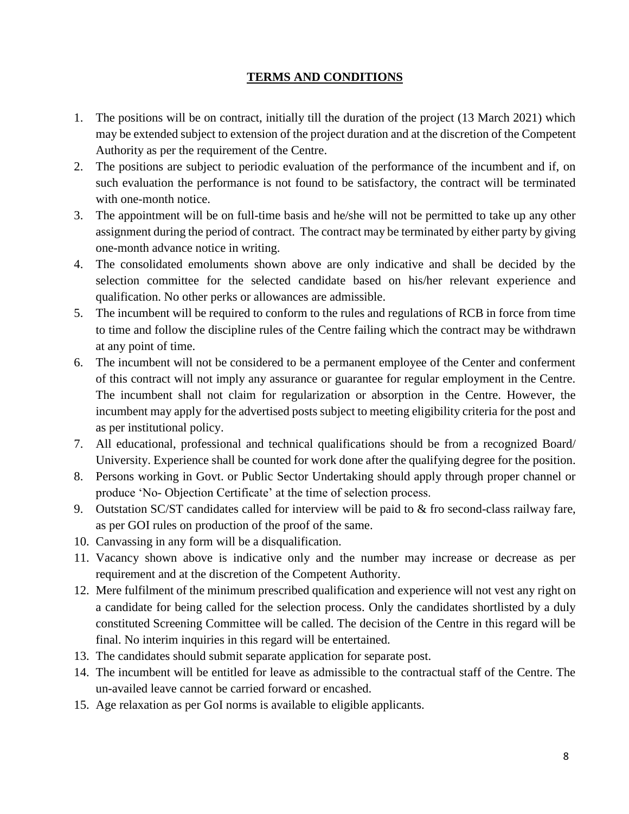## **TERMS AND CONDITIONS**

- 1. The positions will be on contract, initially till the duration of the project (13 March 2021) which may be extended subject to extension of the project duration and at the discretion of the Competent Authority as per the requirement of the Centre.
- 2. The positions are subject to periodic evaluation of the performance of the incumbent and if, on such evaluation the performance is not found to be satisfactory, the contract will be terminated with one-month notice.
- 3. The appointment will be on full-time basis and he/she will not be permitted to take up any other assignment during the period of contract. The contract may be terminated by either party by giving one-month advance notice in writing.
- 4. The consolidated emoluments shown above are only indicative and shall be decided by the selection committee for the selected candidate based on his/her relevant experience and qualification. No other perks or allowances are admissible.
- 5. The incumbent will be required to conform to the rules and regulations of RCB in force from time to time and follow the discipline rules of the Centre failing which the contract may be withdrawn at any point of time.
- 6. The incumbent will not be considered to be a permanent employee of the Center and conferment of this contract will not imply any assurance or guarantee for regular employment in the Centre. The incumbent shall not claim for regularization or absorption in the Centre. However, the incumbent may apply for the advertised posts subject to meeting eligibility criteria for the post and as per institutional policy.
- 7. All educational, professional and technical qualifications should be from a recognized Board/ University. Experience shall be counted for work done after the qualifying degree for the position.
- 8. Persons working in Govt. or Public Sector Undertaking should apply through proper channel or produce 'No- Objection Certificate' at the time of selection process.
- 9. Outstation SC/ST candidates called for interview will be paid to & fro second-class railway fare, as per GOI rules on production of the proof of the same.
- 10. Canvassing in any form will be a disqualification.
- 11. Vacancy shown above is indicative only and the number may increase or decrease as per requirement and at the discretion of the Competent Authority.
- 12. Mere fulfilment of the minimum prescribed qualification and experience will not vest any right on a candidate for being called for the selection process. Only the candidates shortlisted by a duly constituted Screening Committee will be called. The decision of the Centre in this regard will be final. No interim inquiries in this regard will be entertained.
- 13. The candidates should submit separate application for separate post.
- 14. The incumbent will be entitled for leave as admissible to the contractual staff of the Centre. The un-availed leave cannot be carried forward or encashed.
- 15. Age relaxation as per GoI norms is available to eligible applicants.